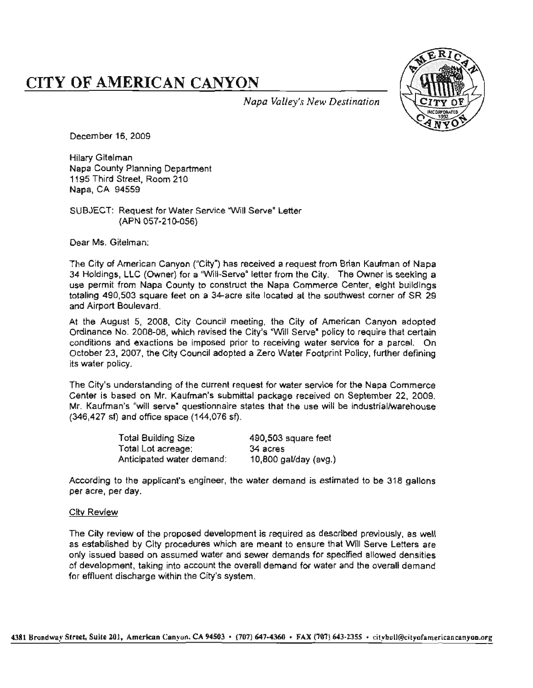# **CITY OF AMERICAN CANYON**



Napa Valley's New Destination

December 16, 2009

**Hilary Gitelman** Napa County Planning Department 1195 Third Street, Room 210 Napa, CA 94559

SUBJECT: Request for Water Service "Will Serve" Letter per

Dear Ms. Giteiman:

ity") has received a request from Brian Kaufman of Nap<br>Will-Serve" letter from the City – The Owner is seeking g<br>2<br>2 gs, LLC (Owner) for a "Will-Serve" letter from the City. The Owner is seekit<br>it from Napa County to construct the Napa Commerce Center, elght build<br>90,503 square feet on a 34-acre site located at the southwest corner of SF ast corner of<br>In Canvon as i Canyon ("City") has received a request from Brian Kaufman<br>wner) for a "Will-Serve" letter from the City. The Owner is s<br>pa County to construct the Napa Commerce Center, elght i<br>Boulevard<br>Die n<br>D committed<br>conditions in<br>ic: ne<br>on<br>y square feet on a 34-acre site located<br>vard. ka<br>Kar<br>Ca (346427 er<br>Bir<br>ac Gitelman;<br>if American Canyi<br>i tou squa<br>Boulevard ri<br>Ca<br>C tel<br>\π<br>ro

te<br>tai<br>C (City) and Council in Council in Council in Council in Council in adopted a Zero Water Footprint Policy, further defining (Comer of Oriented<br>Canyon, adoption igust 5, 2008, City Council meeting, the City of American Canyon adop<br>No. 2008-08, which revised the City's "Will Serve" policy to require that cer<br>and exactions be imposed prior to receiving water service for a parcel.<br>3, ist 5, 2008, City Council meeting, the City of American Canyon<br>o. 2008-08, which revised the City's "Will Serve" policy to require the<br>nd exactions be imposed prior to receiving water service for a na revised<br>Artist<br>Artist ne<br>lic current me receiver<br>Ming, the City's "Will S S<br>ng<br>te eiv<br>W<br><mark>w</mark>a ie<br>e<br>ic demand: a<br>ונוכ<br>Vi: procedure<br>**xa**<br>, t  $\frac{5}{2}$ <br>as water م<br>c ig<br>I its water policy.

trianding of the current request for water service for the Napa Commer<mark>c</mark><br>d on Mr. Kaufman's submittal package received on September 22, 200! re<br>Cei n<br>20 letter<br>Letter<br>Letter  $\frac{1}{2}$ he industrial/ware<br>' neerstanding of the current request for water service for the ry<br>sed on Mr. Kaufman's submittal package received on Septe<br>is "will serve" questionnaire states that the use will be indus<br>and office space (144.076 sf). te<br>: {<br>ne states ill serve" questionnaire stat<br>ill serve" questionnaire stat<br>ffice space (144,076 sf). ill serve" questionnaire<br>tffice space (144,076 s<br>Duildiae Siae hd<br>M<br>se "<br>d s und<br>base<br>nan's

| and office space $(144,076 \text{ s}f)$ .             |                       |
|-------------------------------------------------------|-----------------------|
| Total Building Size                                   | 490,503 square feet   |
| Total Lot acreage:                                    | 34 acres              |
| Anticipated water demand:                             | 10,800 gal/day (avg.) |
| o the applicant's engineer, the water demand is estim |                       |

dr<br>C al Commerce southwest American policy water demand is estimated by  $\frac{1}{2}$ . estimated pl<br>I that  $\frac{1}{2}$ per acre, per day,

#### **City Review**

WE<br>al<br>tie of s<br>S cribed previously, as<br>iat Will Serve Letters<br>recified allowed dens dens<br>dem<br> s<br>L is which are meant to ensure that will serve Li<br>vater and sewer demands for specified allowed<br>int the overall demand for water and the overal aı<br>' ore<br>Si Free to the the country of the control of the control of the count of the overall demands for specified at a sking into account the overall demand for water and the rge within the City's system. reduced as described.<br>They development is required as described ..<br>ds<br>fo ire<br>o ind<br>industrial<br>industrial iew of the<br>ed by City<br>pased on rge de<br>densities<br>densities r<br>et<br>is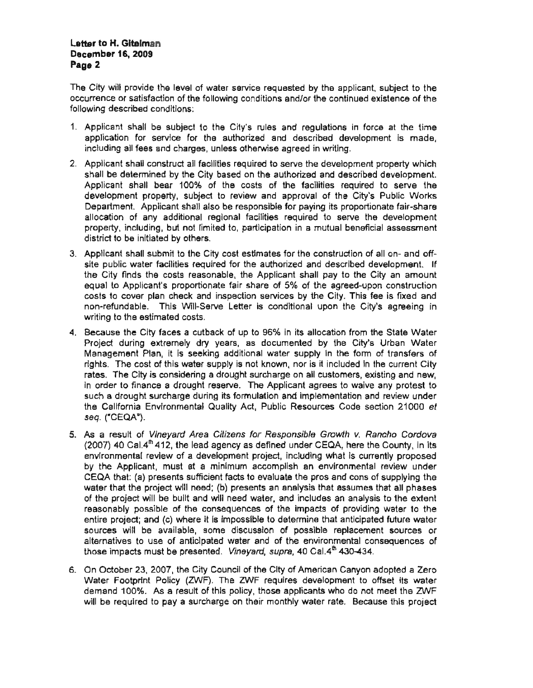### Letter to H. Gitelman **December 16, 2009** Page 2

The City will provide the level of water service requested by the applicant, subject to the occurrence or satisfaction of the following conditions and/or the continued existence of the following described conditions:

- 1. Applicant shall be subject to the City's rules and requlations in force at the time application for service for the authorized and described development is made. including all fees and charges, unless otherwise agreed in writing.
- 2. Applicant shall construct all facilities required to serve the development property which shall be determined by the City based on the authorized and described development. Applicant shall bear 100% of the costs of the facilities required to serve the development property, subject to review and approval of the City's Public Works Department. Applicant shall also be responsible for paying its proportionate fair-share allocation of any additional regional facilities required to serve the development r, including, but not limited to, participation in a mutual beneficial assessment. district to be initiated by others.
- Applicant shall submit to the City cost estimates for the construction of all on- and off-<br>site public water facilities required for the authorized and described development. If<br>the City finds the costs reasonable, the App able, the Applicant shall pay to the City an amount<br>te fair share of 5% of the agreed-upon construction<br>nspection services by the City. This fee is fixed and<br>re Letter is conditional upon the City's agreeing in agreeing in<br>......... timates for the construction of all on- and o<br>e. authorized. and described development i.<br>pu Depincants proportionate fair share of 3% of the agreed-upon construction<br>Cover plan check and inspection services by the City. This fee is fixed and<br>undable. This Will-Serve Letter is conditional upon the City's agreeing all pay to the City and<br>the agreed-upon const nst<br>Txi<br>re: اا<br>ve<br>e<br>e est<br>t or<br>ee fortionate fair share of 5% of the agreed-<br>k and inspection services by the City. Th<br>fill-Serve Letter is conditional upon the<br>psts. str<br>es<br>ay<br>ag of or<br>Calif<br>Ci water facilities required for the auth<br>ds the costs reasonable, the Appl<br>plicant's proportionate fair share of<br>ver plan check and inspection sen alouret to be initiated by entire.<br>Applicant shall submit to the City cost esti<br>site public water facilities required for the าร<br>fo<br>fa<br>กค nt'<mark>s proportio</mark><br>an sheek ar be cause the estimated costs<br>cause the City faces a r<br>tie<br>sts ne<br>; \<br>d ( accione cover planne<br>non-refundable. This<br>writing to the estimate s<br>fi er<br>alter ..<br>اار<br>د the Cit<br>equal  $\frac{1}{2}$ <br>costs t demandem<br>G
- itate Water<br>ban Water e City's Urban Water<br>he form of transfers of<br>uded in the current City. ly<br>.. t to<br>des est<br>a form of transfers<br>:d in the current Ci<br>:s, existing and nev the thermal and the share that<br>sources Code section 21000 re<br>fer<br>te ite<br>in<br>rre<br>ar in order to finance a drought reserve. The Applicant agrees to waive any proses to the such a drought surcharge during its formulation and implementation and review<br>the California Environmental Quality Act, Public Resource supply in the form of track nor is it included in the current control of  $\sim$ ig<br>y<br>n<br>n om the U<br>Eeti aecause the City races a cutoack of up to 96% in its allocation fro<br>Project during extremely dry years, as documented by the C<br>Management Plan, it is seeking additional water supply in the fo . The City is considering a drought surcharge on all customers<br>der to finance a drought reserve. The Applicant agrees to wa<br>a drought surcharge during its formulation and implementation ี่<br>ก<br>e .<br>catic k of up to 96% in its allocatic<br>ears, as documented by the<br>additional water supply in t<br>pply is not known, nor is it inclusively s<br>in<br>i Inis water supply is not known, nor is it is<br>insidering a drought surcharge on all cuality<br>a drought reserve. The Applicant agree<br>harge during its formulation and implem alle<br>d<br>pl<sub>)</sub> יי<br>ht vvill-Serve Letter is conditional costs.<br>I costs.<br>s a cutback of up to 96% in intervals where will be rd<br>R<br>L hc<br>הו<br>te such a drought surcharge during its formulation a<br>the California Environmental Quality Act, Public<br>seq. ("CEQA"). de<br>y i<br>s f<br>s f ת<br>su<br>a seel<br>ater s<br>dr<br>ing<br>in  $\overline{\phantom{a}}$  it of  $\overline{\phantom{a}}$  of  $\overline{\phantom{a}}$  for  $\overline{\phantom{a}}$ im<br>thi<br>rol ma<br>Lif some discussion<br>Circle<br>Circle whing to the cot r<br>Pli<br>v i  $q.$  ("CEQA").<br>a result of  $\frac{1}{2}$ ine<br>ht<br>Cit ecto<br>agem<br>s.T! Manager<br>
rights. The<br>
rates. The<br>
in order t
- v. *Rancho Cordova*<br>vre the County, in its ncy as defined under CEQA, here the County, in its<br>ment project, including what is currently proposed<br>mum\_accompilsh\_an\_environmental\_review\_under<br>acts to synkuste the area and case of supplying the e<br>s<br>t<br>e is impossible to determine that anticipated future water<br>ome discussion of possible replacement sources or<br>the water and of the opvicemental consequences of all ponoco or oi<br>1 |<br>54 environmental review of a development project, including what is currently propose<br>by the Applicant, must at a minimum accompilsh an environmental review und<br>CEOA that: (a) presents sufficient facts to evaluate the pros an ade<br>de<br>de i<br>Ze pp.y...<br>t all ph<br>م the e  $t$  and will need water, and includes an analysis to the  $e$ <br>t and will need water, and includes an analysis to the  $e$ the project will be built and will need water, and includes an analysis to the exagenably possible of the consequences of the impacts of providing water to tire project; and (c) where it is impossible to determine that ant inorma Environmental Quality Act, Public Resources Code section 21<br>CEQA").<br>ssult of *Vineyard Area Citizens for Responsible Growth v. Rancho C*<br>40 Cal.4<sup>th</sup> 412, the lead agency as defined under CEQA, here the Count noninemal review<br>os and cons of supply ။ |<br>ne<br>ur<br>ur io<br>Dl the project will be built and will need water, and includes an analysis to t<br>isonably possible of the consequences of the impacts of providing wat<br>tire project: and (c) where it is impossible to determine that anticipated nc<br>C<br>r: CEQA that: (a) presents sufficient facts to evaluate the pros and cons of s<br>water that the project will need; (b) presents an analysis that assumes th<br>of the project will be built and will need water, and includes an analy e<br>נס<br>חו alternatives to use of anticipated water and of the environmental<br>those impacts must be presented. *Vineyard, supra,* 40 Cal.4<sup>th</sup> 430-4<br>Contains all the County County of the City of the County Co  $\frac{d\mathbf{h}}{\mathbf{h}}$ of transfer<br>N ገ£<br>B<br>S l.<br>c pı<br>s<br>ac ere it is impossible to determine<br>le, some discussion of possibilicipated water and of the env<br>coopted. Vineward suam 40.00 sib<br>de<br>luc a minimum accompiisn a<br>ficient facts to evaluate the<br>ed: (b) presents an analy: result of *Vineyard Area Citizens for Respon*<br>7) 40 Cal.4<sup>th</sup> 412, the lead agency as defined ur<br>onmental review of a development project, inc<br>ne Applicant, must at a minimum accompilsh implement<br>entation<br>identi re<br>Resources<br>Co fo<br>S C<br>al r<br>Citi<br>ge t ib)<br>ie ir o e<br>a al review of a deve ate<br>ite<br>'C n<br>e a<br>su view of<br>I<sub>r</sub> must<br>resents yi<br>2,<br>nl e<br>c)<br>/a replacement<br>Internacement<br>a en<br>Privi<br>SS consequence<br>consequences<br>dossequences rc:<br>a<br>e t<br>4<br>3 ท<br>A<br>เส urces<br>arnativ<br>p<mark>se</mark> imp -<br>ne<br>Arte⊣ pd<br>ivi<br>EC  $A_3$ <br>(2) re<br>Bi<br>al
- ci<br>dist<br>th and fixed and<br>dopted a Zero is<br>C extravalation and protest<br>incil of the City of Ame<br>policy, those applicant n October 23, 2007, the City<br>ater Footprint Policy (ZWI)<br>mond 100% ... As a secult o a<br>. o<br>Pro i October 23, 2007, the City Council of the Clty of American Canyon adopted a Zero<br>ater Footprint. Policy. (ZWF). The ZWF requires. development to offset its water.<br>mand 100%....As a result of this policy. those applicants a<br>Br<br>、 a secult of this policy, those applicants who do not meet the ZM will be required to pay a surcharge on their monthly water rate. Because this project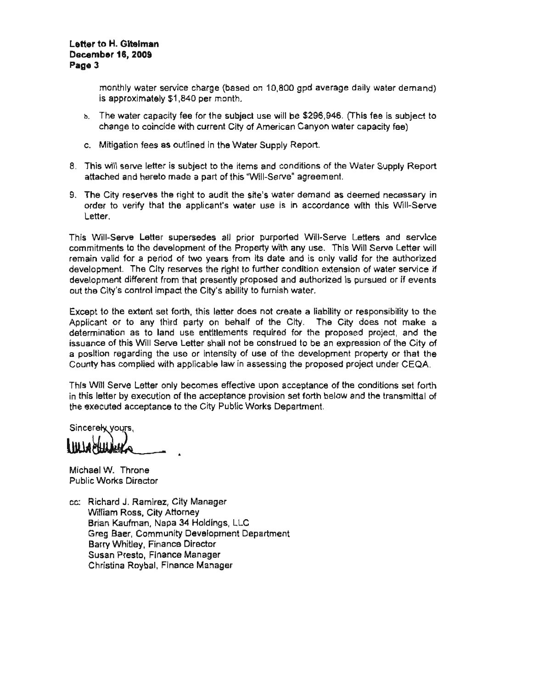### Letter to H. Giteiman **December 16, 2009** Page 3

monthly water service charge (based on 10,800 gpd average daily water demand) is approximately \$1,840 per month.

- b. The water capacity fee for the subject use will be \$296,946. (This fee is subject to change to coincide with current City of American Canyon water capacity fee)
- c. Mitigation fees as outlined in the Water Supply Report.
- 8. This will serve letter is subject to the items and conditions of the Water Supply Report attached and hereto made a part of this "Will-Serve" agreement.
- 9. The City reserves the right to audit the site's water demand as deemed necessary in order to verify that the applicant's water use is in accordance with this Will-Serve Letter.

remant Will-Serve Letters and service<br>any use. This Will Serve Letter will<br>and is only valid for the authorized ars from its date and is only valid for the authorized<br>fight to further condition extension of water service if l<br>S rv<br>riz<br>ic: se<br>tte<br>an ں<br>ا Will-Serve Leffers and<br>y use. This Will Serve Le<br>I is only valid for the aut control the development of the Property with any use. This Will Se<br>It a period of two years from its date and is only valid for th<br>The City reserves the right to further condition extension of wa Né<br>I  $\frac{1}{2}$  rized is purs<br> $\frac{1}{2}$ determination<br>determination<br>determination e<br>al Sity reserves the right to further condition<br>It from that presently proposed and au ersedes all prior purport<br>ment of the Property with th<br>e<br>c m that prese<br>ict the City's<br>orth this let The City r<br>ifferent fro<br>Shtrol imp ch<br>Christia<br>Christia r<br>B<br>B

pthe<br>ke a  $\frac{1}{2}$  make a<br>and the the Letter shall not be construed to be an expression of the City of the use or intensity of use of the development property or that the vith applicable law in assessing the proposed project under CEQA. erty or that the  $u$ under CEQA.<br>''' re<br>ty at form, this letter does not create a liability or responsibility t<br>hird party on behalf of the City. The City does not ma<br>ind use entitlements required for the proposed project, an That the use entimented to the development propect, and<br>the use or intensity of use of the development property or that<br>ith applicable law in assessing the proposed project under CE ise entitlements required for the proposed proj<br>etter shall not be construed to be an expression. act the City's ability to furnish water.<br>forth, this letter does not create a liability or resi<br>departy on behalf of the City. The City do projec o<br>le<br>「 w<br>at:<br>:It ar<br>sh<br>e igarding the use or intensity or use or tr<br>complied with applicable law in assessing<br>rve Letter only becomes effective upon a a<br>| l<br>!! Community<br>Community<br>Community S<br>d<br>Der<br>Der <mark>xten</mark><br>ance<br>ance to s Will<br>Irding<br><mark>mplie</mark> t<br>ה<br>hi

s set forth<br>n<mark>smitt</mark>al of right proposed project under CEQ.<br>acceptance of the conditions set for<br>n set forth below and the transmitta proposed the control of the control of the control of the control of the control of the control of the control of the control of the control of the control of the control of the control of the control of the control of the he condit<br>v and the<br> enti<br>Fi on of the acceptance provision set forth belo epartment.<br>. pt<br>fc<br>m ة<br>cc<br>se

de<br>ar Sincerely yours,

Michael W. Throne **Public Works Director** 

cc: Richard J. Ramirez, City Manager William Ross, City Attorney Brian Kaufman, Napa 34 Holdings, LLC Barry Whitley, Finance Director Susan Presto, Finance Manager Christina Roybal, Finance Manager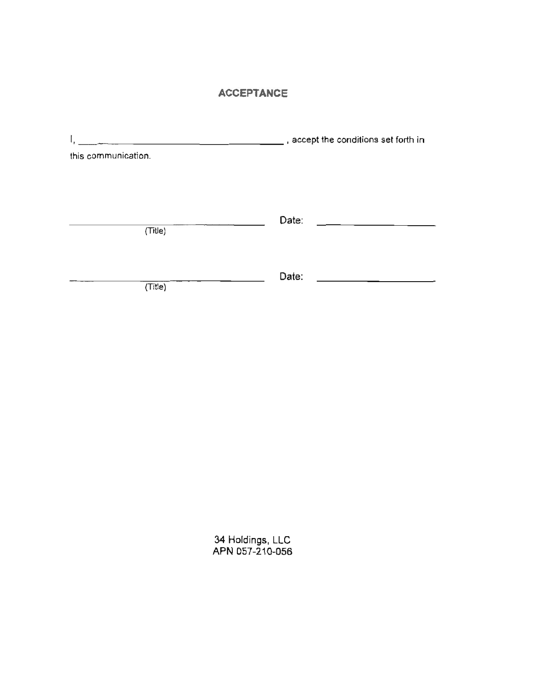## **ACCEPTANCE**

|                     | $\mathcal{L}$ , accept the conditions set forth in |  |
|---------------------|----------------------------------------------------|--|
| this communication. |                                                    |  |
|                     |                                                    |  |
|                     |                                                    |  |
| (Title)             | Date:<br>the control of the control of the         |  |
|                     |                                                    |  |
|                     | Date:                                              |  |
| (Title)             |                                                    |  |
|                     |                                                    |  |

34 Holdings, LLC<br>APN 057-210-056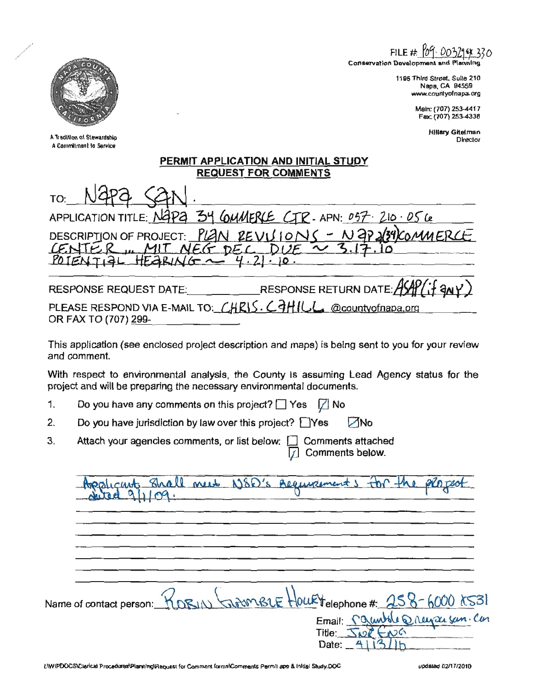FILE  $#$ 

Conservation Development and B

1195 Third Streat, Suite 210 Napa, CA 94559 www.countyofnapa.org

> Main: (707) 253-4417 Fac (707) 253-4336

> > **Hillary Gitelman** Director

A Tradition of Stewardship A Commitment to Service

| PERMIT APPLICATION AND INITIAL STUDY |
|--------------------------------------|
| <b>REQUEST FOR COMMENTS</b>          |
|                                      |

TO:  $34$  COMMERCE CTR-APN:  $057 - 210 - 056$ APPLICATION TITLE: NAPA

PIAN  $REVALUIONC = N3P2$ **DESCRIPTION OF PROJECT:** CENTER  $DEC$  $E(G)$ POTENTIAL  $4.21$ HEARIN  $. 10$ 

RESPONSE RETURN DATE: AS **RESPONSE REQUEST DATE:** PLEASE RESPOND VIA E-MAIL TO: CHRIS. CAHILL @countyofnapa.org OR FAX TO (707) 299-

This application (see enclosed project description and maps) is being sent to you for your review and comment.

With respect to environmental analysis, the County is assuming Lead Agency status for the project and will be preparing the necessary environmental documents.

- $1.$ Do you have any comments on this project?  $\Box$  Yes M No
- $2.$ Do you have jurisdiction by law over this project?  $\Box$  Yes **ZNo**
- $3<sub>l</sub>$ Attach your agencies comments, or list below: [7] Comments attached Comments below.  $\mathcal{I}$

| wants shall need NSD's Aeguvernents for the placeof                |  |
|--------------------------------------------------------------------|--|
|                                                                    |  |
| Name of contact person: ROBIN GIRMBLE HOUETelephone# 258-6000 2531 |  |
| Title: JAPRENG<br>Date: $4131$                                     |  |